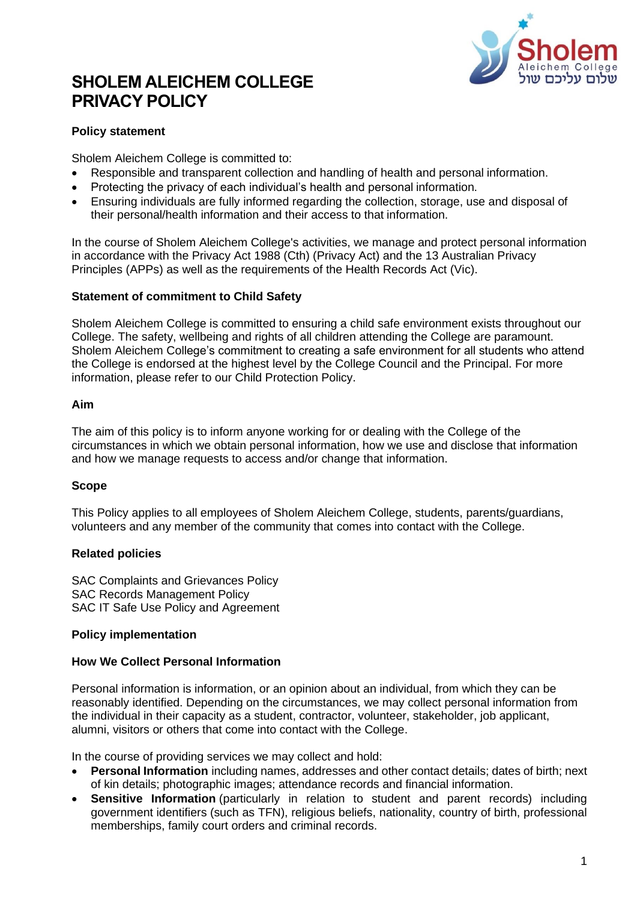

# **SHOLEM ALEICHEM COLLEGE PRIVACY POLICY**

# **Policy statement**

Sholem Aleichem College is committed to:

- Responsible and transparent collection and handling of health and personal information.
- Protecting the privacy of each individual's health and personal information.
- Ensuring individuals are fully informed regarding the collection, storage, use and disposal of their personal/health information and their access to that information.

In the course of Sholem Aleichem College's activities, we manage and protect personal information in accordance with the Privacy Act 1988 (Cth) (Privacy Act) and the 13 Australian Privacy Principles (APPs) as well as the requirements of the Health Records Act (Vic).

#### **Statement of commitment to Child Safety**

Sholem Aleichem College is committed to ensuring a child safe environment exists throughout our College. The safety, wellbeing and rights of all children attending the College are paramount. Sholem Aleichem College's commitment to creating a safe environment for all students who attend the College is endorsed at the highest level by the College Council and the Principal. For more information, please refer to our Child Protection Policy.

#### **Aim**

The aim of this policy is to inform anyone working for or dealing with the College of the circumstances in which we obtain personal information, how we use and disclose that information and how we manage requests to access and/or change that information.

#### **Scope**

This Policy applies to all employees of Sholem Aleichem College, students, parents/guardians, volunteers and any member of the community that comes into contact with the College.

#### **Related policies**

SAC Complaints and Grievances Policy SAC Records Management Policy SAC IT Safe Use Policy and Agreement

#### **Policy implementation**

#### **How We Collect Personal Information**

Personal information is information, or an opinion about an individual, from which they can be reasonably identified. Depending on the circumstances, we may collect personal information from the individual in their capacity as a student, contractor, volunteer, stakeholder, job applicant, alumni, visitors or others that come into contact with the College.

In the course of providing services we may collect and hold:

- **Personal Information** including names, addresses and other contact details; dates of birth; next of kin details; photographic images; attendance records and financial information.
- **Sensitive Information** (particularly in relation to student and parent records) including government identifiers (such as TFN), religious beliefs, nationality, country of birth, professional memberships, family court orders and criminal records.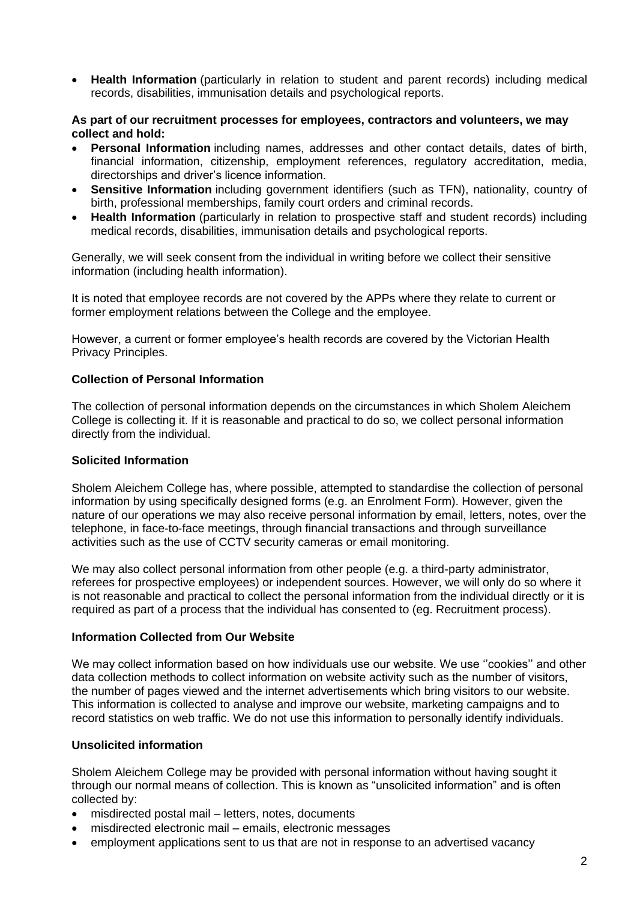• **Health Information** (particularly in relation to student and parent records) including medical records, disabilities, immunisation details and psychological reports.

#### **As part of our recruitment processes for employees, contractors and volunteers, we may collect and hold:**

- **Personal Information** including names, addresses and other contact details, dates of birth, financial information, citizenship, employment references, regulatory accreditation, media, directorships and driver's licence information.
- **Sensitive Information** including government identifiers (such as TFN), nationality, country of birth, professional memberships, family court orders and criminal records.
- **Health Information** (particularly in relation to prospective staff and student records) including medical records, disabilities, immunisation details and psychological reports.

Generally, we will seek consent from the individual in writing before we collect their sensitive information (including health information).

It is noted that employee records are not covered by the APPs where they relate to current or former employment relations between the College and the employee.

However, a current or former employee's health records are covered by the Victorian Health Privacy Principles.

#### **Collection of Personal Information**

The collection of personal information depends on the circumstances in which Sholem Aleichem College is collecting it. If it is reasonable and practical to do so, we collect personal information directly from the individual.

#### **Solicited Information**

Sholem Aleichem College has, where possible, attempted to standardise the collection of personal information by using specifically designed forms (e.g. an Enrolment Form). However, given the nature of our operations we may also receive personal information by email, letters, notes, over the telephone, in face-to-face meetings, through financial transactions and through surveillance activities such as the use of CCTV security cameras or email monitoring.

We may also collect personal information from other people (e.g. a third-party administrator, referees for prospective employees) or independent sources. However, we will only do so where it is not reasonable and practical to collect the personal information from the individual directly or it is required as part of a process that the individual has consented to (eg. Recruitment process).

#### **Information Collected from Our Website**

We may collect information based on how individuals use our website. We use ''cookies'' and other data collection methods to collect information on website activity such as the number of visitors, the number of pages viewed and the internet advertisements which bring visitors to our website. This information is collected to analyse and improve our website, marketing campaigns and to record statistics on web traffic. We do not use this information to personally identify individuals.

#### **Unsolicited information**

Sholem Aleichem College may be provided with personal information without having sought it through our normal means of collection. This is known as "unsolicited information" and is often collected by:

- misdirected postal mail letters, notes, documents
- misdirected electronic mail emails, electronic messages
- employment applications sent to us that are not in response to an advertised vacancy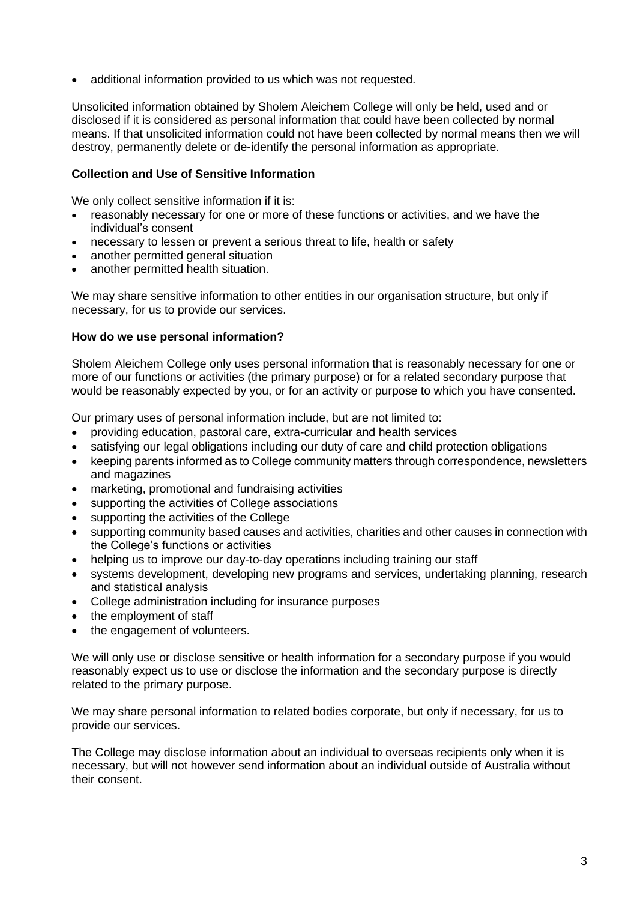additional information provided to us which was not requested.

Unsolicited information obtained by Sholem Aleichem College will only be held, used and or disclosed if it is considered as personal information that could have been collected by normal means. If that unsolicited information could not have been collected by normal means then we will destroy, permanently delete or de-identify the personal information as appropriate.

## **Collection and Use of Sensitive Information**

We only collect sensitive information if it is:

- reasonably necessary for one or more of these functions or activities, and we have the individual's consent
- necessary to lessen or prevent a serious threat to life, health or safety
- another permitted general situation
- another permitted health situation.

We may share sensitive information to other entities in our organisation structure, but only if necessary, for us to provide our services.

#### **How do we use personal information?**

Sholem Aleichem College only uses personal information that is reasonably necessary for one or more of our functions or activities (the primary purpose) or for a related secondary purpose that would be reasonably expected by you, or for an activity or purpose to which you have consented.

Our primary uses of personal information include, but are not limited to:

- providing education, pastoral care, extra-curricular and health services
- satisfying our legal obligations including our duty of care and child protection obligations
- keeping parents informed as to College community matters through correspondence, newsletters and magazines
- marketing, promotional and fundraising activities
- supporting the activities of College associations
- supporting the activities of the College
- supporting community based causes and activities, charities and other causes in connection with the College's functions or activities
- helping us to improve our day-to-day operations including training our staff
- systems development, developing new programs and services, undertaking planning, research and statistical analysis
- College administration including for insurance purposes
- the employment of staff
- the engagement of volunteers.

We will only use or disclose sensitive or health information for a secondary purpose if you would reasonably expect us to use or disclose the information and the secondary purpose is directly related to the primary purpose.

We may share personal information to related bodies corporate, but only if necessary, for us to provide our services.

The College may disclose information about an individual to overseas recipients only when it is necessary, but will not however send information about an individual outside of Australia without their consent.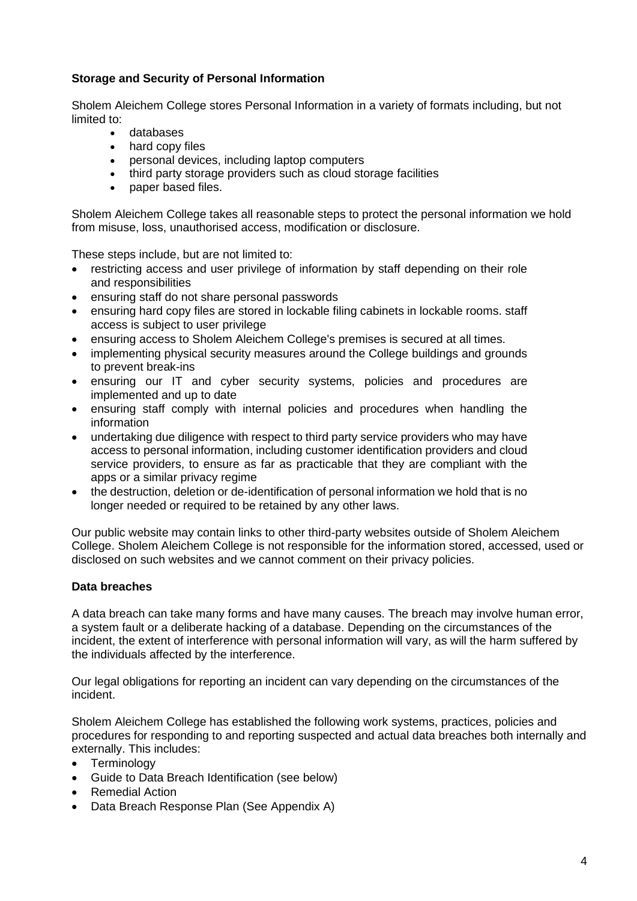# **Storage and Security of Personal Information**

Sholem Aleichem College stores Personal Information in a variety of formats including, but not limited to:

- databases
- hard copy files
- personal devices, including laptop computers
- third party storage providers such as cloud storage facilities
- paper based files.

Sholem Aleichem College takes all reasonable steps to protect the personal information we hold from misuse, loss, unauthorised access, modification or disclosure.

These steps include, but are not limited to:

- restricting access and user privilege of information by staff depending on their role and responsibilities
- ensuring staff do not share personal passwords
- ensuring hard copy files are stored in lockable filing cabinets in lockable rooms. staff access is subject to user privilege
- ensuring access to Sholem Aleichem College's premises is secured at all times.
- implementing physical security measures around the College buildings and grounds to prevent break-ins
- ensuring our IT and cyber security systems, policies and procedures are implemented and up to date
- ensuring staff comply with internal policies and procedures when handling the information
- undertaking due diligence with respect to third party service providers who may have access to personal information, including customer identification providers and cloud service providers, to ensure as far as practicable that they are compliant with the apps or a similar privacy regime
- the destruction, deletion or de-identification of personal information we hold that is no longer needed or required to be retained by any other laws.

Our public website may contain links to other third-party websites outside of Sholem Aleichem College. Sholem Aleichem College is not responsible for the information stored, accessed, used or disclosed on such websites and we cannot comment on their privacy policies.

#### **Data breaches**

A data breach can take many forms and have many causes. The breach may involve human error, a system fault or a deliberate hacking of a database. Depending on the circumstances of the incident, the extent of interference with personal information will vary, as will the harm suffered by the individuals affected by the interference.

Our legal obligations for reporting an incident can vary depending on the circumstances of the incident.

Sholem Aleichem College has established the following work systems, practices, policies and procedures for responding to and reporting suspected and actual data breaches both internally and externally. This includes:

- Terminology
- Guide to Data Breach Identification (see below)
- Remedial Action
- Data Breach Response Plan (See Appendix A)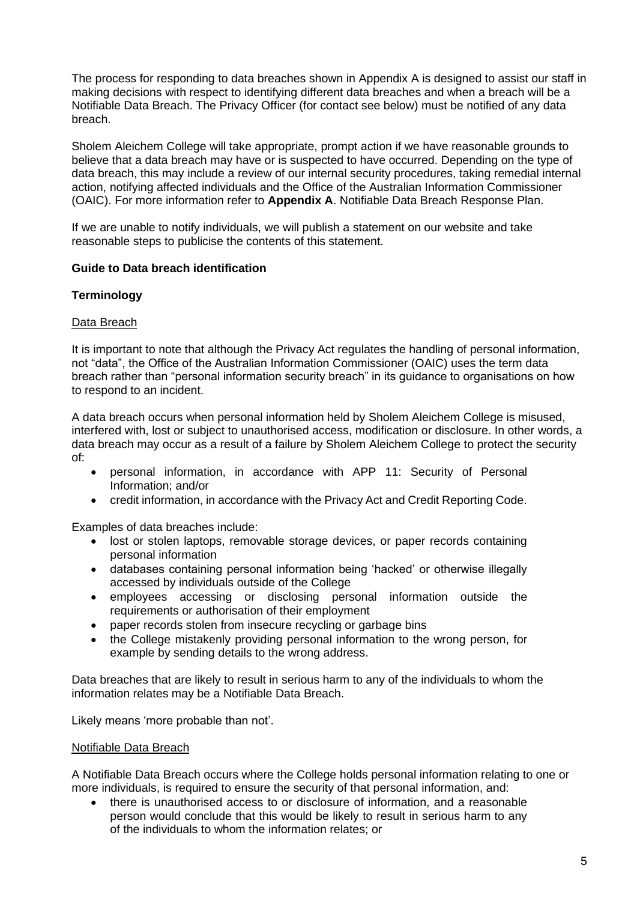The process for responding to data breaches shown in Appendix A is designed to assist our staff in making decisions with respect to identifying different data breaches and when a breach will be a Notifiable Data Breach. The Privacy Officer (for contact see below) must be notified of any data breach.

Sholem Aleichem College will take appropriate, prompt action if we have reasonable grounds to believe that a data breach may have or is suspected to have occurred. Depending on the type of data breach, this may include a review of our internal security procedures, taking remedial internal action, notifying affected individuals and the Office of the Australian Information Commissioner (OAIC). For more information refer to **Appendix A**. Notifiable Data Breach Response Plan.

If we are unable to notify individuals, we will publish a statement on our website and take reasonable steps to publicise the contents of this statement.

## **Guide to Data breach identification**

## **Terminology**

#### Data Breach

It is important to note that although the Privacy Act regulates the handling of personal information, not "data", the Office of the Australian Information Commissioner (OAIC) uses the term data breach rather than "personal information security breach" in its guidance to organisations on how to respond to an incident.

A data breach occurs when personal information held by Sholem Aleichem College is misused, interfered with, lost or subject to unauthorised access, modification or disclosure. In other words, a data breach may occur as a result of a failure by Sholem Aleichem College to protect the security of:

- personal information, in accordance with APP 11: Security of Personal Information; and/or
- credit information, in accordance with the Privacy Act and Credit Reporting Code.

Examples of data breaches include:

- lost or stolen laptops, removable storage devices, or paper records containing personal information
- databases containing personal information being 'hacked' or otherwise illegally accessed by individuals outside of the College
- employees accessing or disclosing personal information outside the requirements or authorisation of their employment
- paper records stolen from insecure recycling or garbage bins
- the College mistakenly providing personal information to the wrong person, for example by sending details to the wrong address.

Data breaches that are likely to result in serious harm to any of the individuals to whom the information relates may be a Notifiable Data Breach.

Likely means 'more probable than not'.

#### Notifiable Data Breach

A Notifiable Data Breach occurs where the College holds personal information relating to one or more individuals, is required to ensure the security of that personal information, and:

• there is unauthorised access to or disclosure of information, and a reasonable person would conclude that this would be likely to result in serious harm to any of the individuals to whom the information relates; or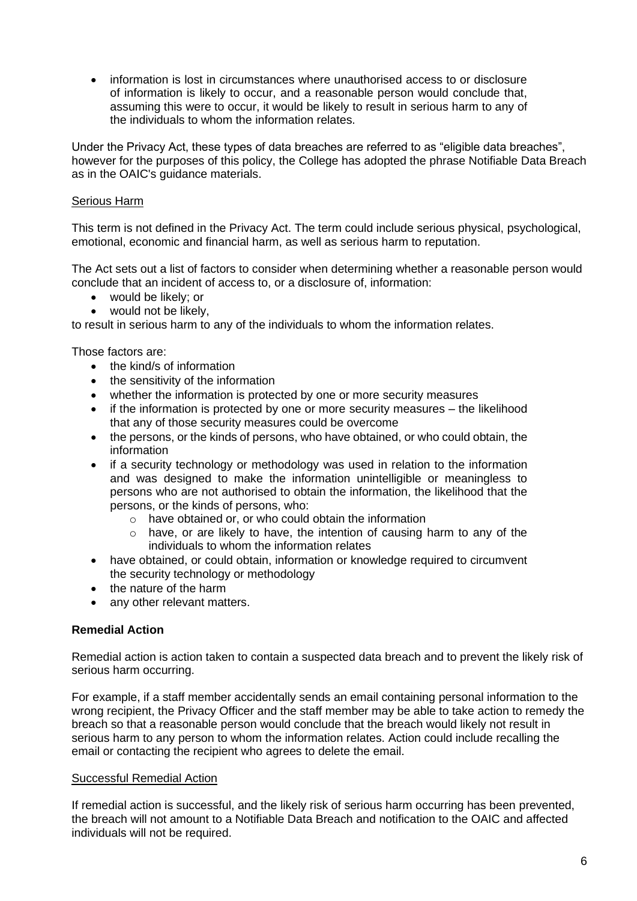• information is lost in circumstances where unauthorised access to or disclosure of information is likely to occur, and a reasonable person would conclude that, assuming this were to occur, it would be likely to result in serious harm to any of the individuals to whom the information relates.

Under the Privacy Act, these types of data breaches are referred to as "eligible data breaches", however for the purposes of this policy, the College has adopted the phrase Notifiable Data Breach as in the OAIC's guidance materials.

## Serious Harm

This term is not defined in the Privacy Act. The term could include serious physical, psychological, emotional, economic and financial harm, as well as serious harm to reputation.

The Act sets out a list of factors to consider when determining whether a reasonable person would conclude that an incident of access to, or a disclosure of, information:

- would be likely; or
- would not be likely.

to result in serious harm to any of the individuals to whom the information relates.

Those factors are:

- the kind/s of information
- the sensitivity of the information
- whether the information is protected by one or more security measures
- if the information is protected by one or more security measures the likelihood that any of those security measures could be overcome
- the persons, or the kinds of persons, who have obtained, or who could obtain, the information
- if a security technology or methodology was used in relation to the information and was designed to make the information unintelligible or meaningless to persons who are not authorised to obtain the information, the likelihood that the persons, or the kinds of persons, who:
	- o have obtained or, or who could obtain the information
	- o have, or are likely to have, the intention of causing harm to any of the individuals to whom the information relates
- have obtained, or could obtain, information or knowledge required to circumvent the security technology or methodology
- the nature of the harm
- any other relevant matters.

#### **Remedial Action**

Remedial action is action taken to contain a suspected data breach and to prevent the likely risk of serious harm occurring.

For example, if a staff member accidentally sends an email containing personal information to the wrong recipient, the Privacy Officer and the staff member may be able to take action to remedy the breach so that a reasonable person would conclude that the breach would likely not result in serious harm to any person to whom the information relates. Action could include recalling the email or contacting the recipient who agrees to delete the email.

#### Successful Remedial Action

If remedial action is successful, and the likely risk of serious harm occurring has been prevented, the breach will not amount to a Notifiable Data Breach and notification to the OAIC and affected individuals will not be required.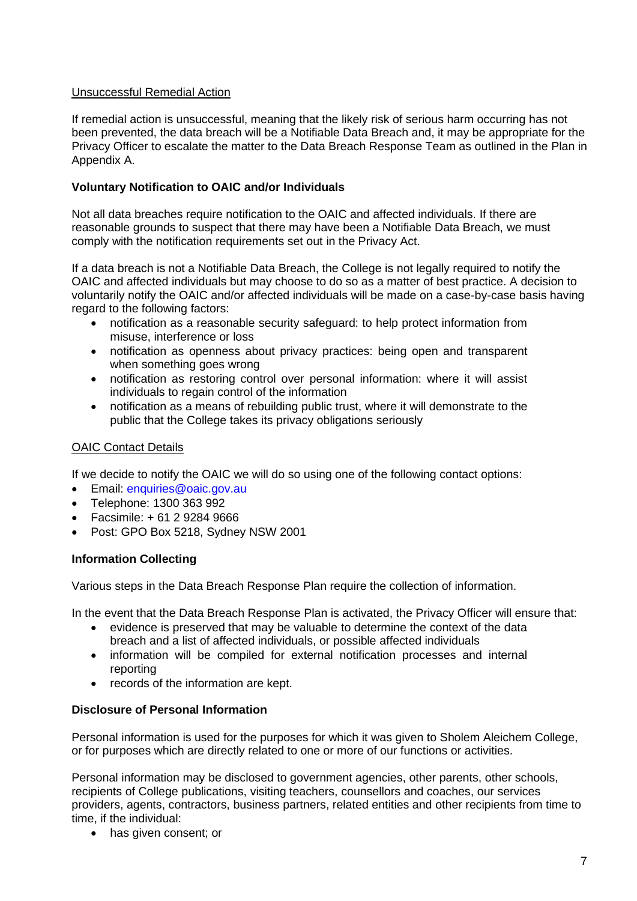# Unsuccessful Remedial Action

If remedial action is unsuccessful, meaning that the likely risk of serious harm occurring has not been prevented, the data breach will be a Notifiable Data Breach and, it may be appropriate for the Privacy Officer to escalate the matter to the Data Breach Response Team as outlined in the Plan in Appendix A.

## **Voluntary Notification to OAIC and/or Individuals**

Not all data breaches require notification to the OAIC and affected individuals. If there are reasonable grounds to suspect that there may have been a Notifiable Data Breach, we must comply with the notification requirements set out in the Privacy Act.

If a data breach is not a Notifiable Data Breach, the College is not legally required to notify the OAIC and affected individuals but may choose to do so as a matter of best practice. A decision to voluntarily notify the OAIC and/or affected individuals will be made on a case-by-case basis having regard to the following factors:

- notification as a reasonable security safeguard: to help protect information from misuse, interference or loss
- notification as openness about privacy practices: being open and transparent when something goes wrong
- notification as restoring control over personal information: where it will assist individuals to regain control of the information
- notification as a means of rebuilding public trust, where it will demonstrate to the public that the College takes its privacy obligations seriously

## OAIC Contact Details

If we decide to notify the OAIC we will do so using one of the following contact options:

- Email: [enquiries@oaic.gov.au](mailto:enquiries@oaic.gov.au)
- Telephone: 1300 363 992
- Facsimile: + 61 2 9284 9666
- Post: GPO Box 5218, Sydney NSW 2001

#### **Information Collecting**

Various steps in the Data Breach Response Plan require the collection of information.

In the event that the Data Breach Response Plan is activated, the Privacy Officer will ensure that:

- evidence is preserved that may be valuable to determine the context of the data breach and a list of affected individuals, or possible affected individuals
- information will be compiled for external notification processes and internal reporting
- records of the information are kept.

## **Disclosure of Personal Information**

Personal information is used for the purposes for which it was given to Sholem Aleichem College, or for purposes which are directly related to one or more of our functions or activities.

Personal information may be disclosed to government agencies, other parents, other schools, recipients of College publications, visiting teachers, counsellors and coaches, our services providers, agents, contractors, business partners, related entities and other recipients from time to time, if the individual:

• has given consent; or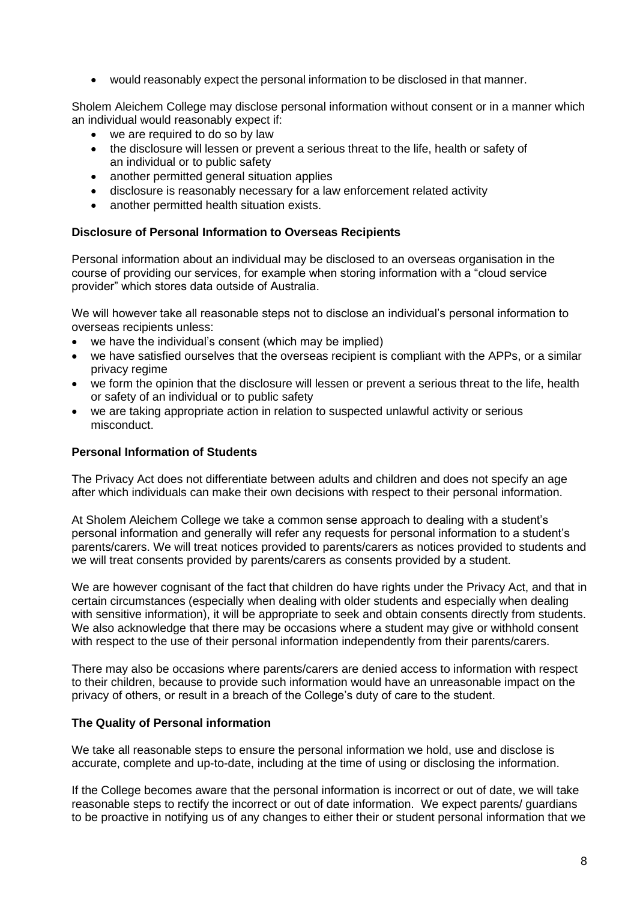• would reasonably expect the personal information to be disclosed in that manner.

Sholem Aleichem College may disclose personal information without consent or in a manner which an individual would reasonably expect if:

- we are required to do so by law
- the disclosure will lessen or prevent a serious threat to the life, health or safety of an individual or to public safety
- another permitted general situation applies
- disclosure is reasonably necessary for a law enforcement related activity
- another permitted health situation exists.

## **Disclosure of Personal Information to Overseas Recipients**

Personal information about an individual may be disclosed to an overseas organisation in the course of providing our services, for example when storing information with a "cloud service provider" which stores data outside of Australia.

We will however take all reasonable steps not to disclose an individual's personal information to overseas recipients unless:

- we have the individual's consent (which may be implied)
- we have satisfied ourselves that the overseas recipient is compliant with the APPs, or a similar privacy regime
- we form the opinion that the disclosure will lessen or prevent a serious threat to the life, health or safety of an individual or to public safety
- we are taking appropriate action in relation to suspected unlawful activity or serious misconduct.

#### **Personal Information of Students**

The Privacy Act does not differentiate between adults and children and does not specify an age after which individuals can make their own decisions with respect to their personal information.

At Sholem Aleichem College we take a common sense approach to dealing with a student's personal information and generally will refer any requests for personal information to a student's parents/carers. We will treat notices provided to parents/carers as notices provided to students and we will treat consents provided by parents/carers as consents provided by a student.

We are however cognisant of the fact that children do have rights under the Privacy Act, and that in certain circumstances (especially when dealing with older students and especially when dealing with sensitive information), it will be appropriate to seek and obtain consents directly from students. We also acknowledge that there may be occasions where a student may give or withhold consent with respect to the use of their personal information independently from their parents/carers.

There may also be occasions where parents/carers are denied access to information with respect to their children, because to provide such information would have an unreasonable impact on the privacy of others, or result in a breach of the College's duty of care to the student.

#### **The Quality of Personal information**

We take all reasonable steps to ensure the personal information we hold, use and disclose is accurate, complete and up-to-date, including at the time of using or disclosing the information.

If the College becomes aware that the personal information is incorrect or out of date, we will take reasonable steps to rectify the incorrect or out of date information. We expect parents/ guardians to be proactive in notifying us of any changes to either their or student personal information that we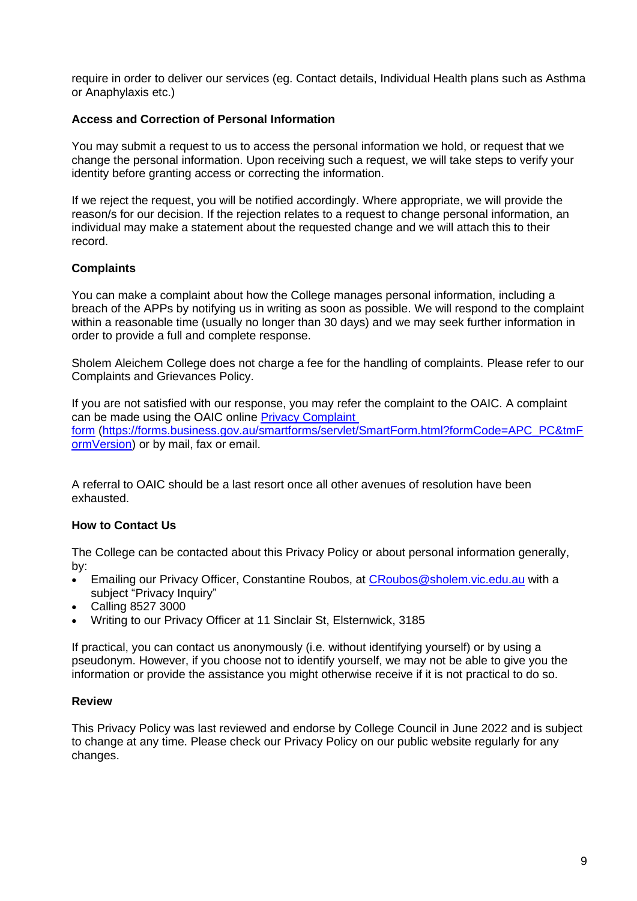require in order to deliver our services (eg. Contact details, Individual Health plans such as Asthma or Anaphylaxis etc.)

## **Access and Correction of Personal Information**

You may submit a request to us to access the personal information we hold, or request that we change the personal information. Upon receiving such a request, we will take steps to verify your identity before granting access or correcting the information.

If we reject the request, you will be notified accordingly. Where appropriate, we will provide the reason/s for our decision. If the rejection relates to a request to change personal information, an individual may make a statement about the requested change and we will attach this to their record.

## **Complaints**

You can make a complaint about how the College manages personal information, including a breach of the APPs by notifying us in writing as soon as possible. We will respond to the complaint within a reasonable time (usually no longer than 30 days) and we may seek further information in order to provide a full and complete response.

Sholem Aleichem College does not charge a fee for the handling of complaints. Please refer to our Complaints and Grievances Policy.

If you are not satisfied with our response, you may refer the complaint to the OAIC. A complaint can be made using the OAIC online [Privacy Complaint](https://forms.business.gov.au/smartforms/landing.htm?formCode=APC_PC)  [form](https://forms.business.gov.au/smartforms/landing.htm?formCode=APC_PC) [\(https://forms.business.gov.au/smartforms/servlet/SmartForm.html?formCode=APC\\_PC&tmF](https://forms.business.gov.au/smartforms/servlet/SmartForm.html?formCode=APC_PC&tmFormVersion) [ormVersion\)](https://forms.business.gov.au/smartforms/servlet/SmartForm.html?formCode=APC_PC&tmFormVersion) or by mail, fax or email.

A referral to OAIC should be a last resort once all other avenues of resolution have been exhausted.

#### **How to Contact Us**

The College can be contacted about this Privacy Policy or about personal information generally, by:

- Emailing our Privacy Officer, Constantine Roubos, at [CRoubos@sholem.vic.edu.au](mailto:CRoubos@sholem.vic.edu.au) with a subject "Privacy Inquiry"
- Calling 8527 3000
- Writing to our Privacy Officer at 11 Sinclair St, Elsternwick, 3185

If practical, you can contact us anonymously (i.e. without identifying yourself) or by using a pseudonym. However, if you choose not to identify yourself, we may not be able to give you the information or provide the assistance you might otherwise receive if it is not practical to do so.

## **Review**

This Privacy Policy was last reviewed and endorse by College Council in June 2022 and is subject to change at any time. Please check our Privacy Policy on our public website regularly for any changes.